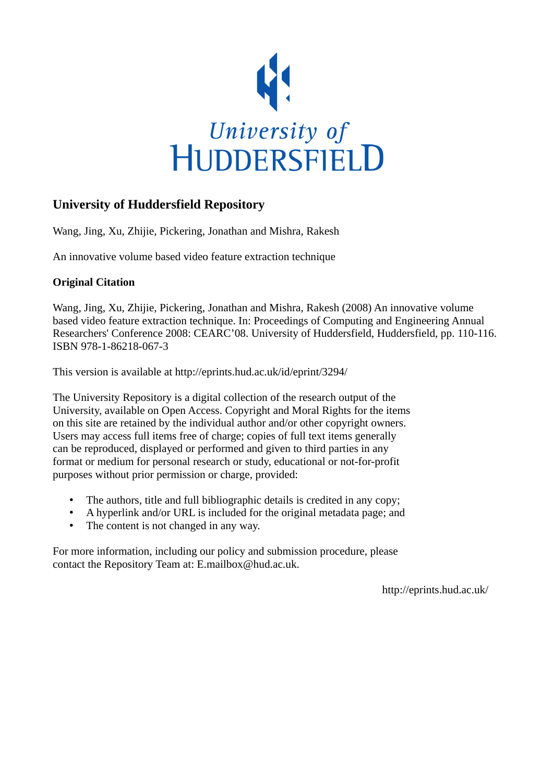

# **University of Huddersfield Repository**

Wang, Jing, Xu, Zhijie, Pickering, Jonathan and Mishra, Rakesh

An innovative volume based video feature extraction technique

## **Original Citation**

Wang, Jing, Xu, Zhijie, Pickering, Jonathan and Mishra, Rakesh (2008) An innovative volume based video feature extraction technique. In: Proceedings of Computing and Engineering Annual Researchers' Conference 2008: CEARC'08. University of Huddersfield, Huddersfield, pp. 110-116. ISBN 978-1-86218-067-3

This version is available at http://eprints.hud.ac.uk/id/eprint/3294/

The University Repository is a digital collection of the research output of the University, available on Open Access. Copyright and Moral Rights for the items on this site are retained by the individual author and/or other copyright owners. Users may access full items free of charge; copies of full text items generally can be reproduced, displayed or performed and given to third parties in any format or medium for personal research or study, educational or not-for-profit purposes without prior permission or charge, provided:

- The authors, title and full bibliographic details is credited in any copy;
- A hyperlink and/or URL is included for the original metadata page; and
- The content is not changed in any way.

For more information, including our policy and submission procedure, please contact the Repository Team at: E.mailbox@hud.ac.uk.

http://eprints.hud.ac.uk/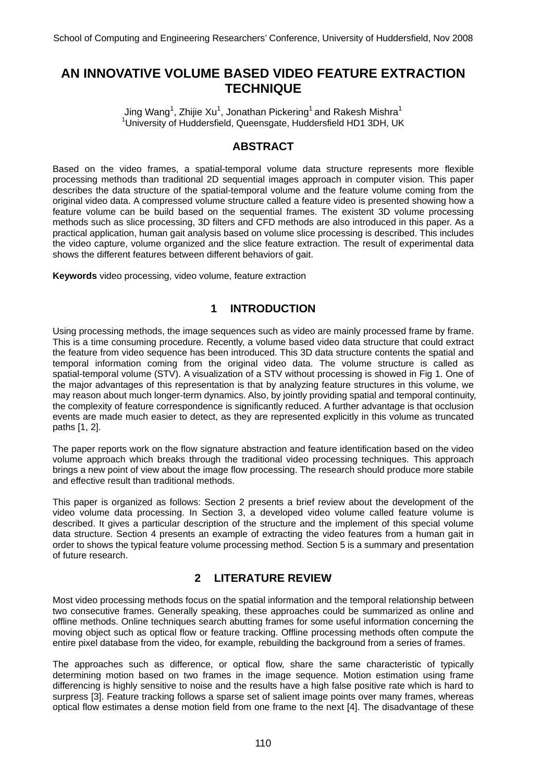# **AN INNOVATIVE VOLUME BASED VIDEO FEATURE EXTRACTION TECHNIQUE**

Jing Wang<sup>1</sup>, Zhijie Xu<sup>1</sup>, Jonathan Pickering<sup>1</sup> and Rakesh Mishra<sup>1</sup> <sup>1</sup>University of Huddersfield, Queensgate, Huddersfield HD1 3DH, UK

# **ABSTRACT**

Based on the video frames, a spatial-temporal volume data structure represents more flexible processing methods than traditional 2D sequential images approach in computer vision. This paper describes the data structure of the spatial-temporal volume and the feature volume coming from the original video data. A compressed volume structure called a feature video is presented showing how a feature volume can be build based on the sequential frames. The existent 3D volume processing methods such as slice processing, 3D filters and CFD methods are also introduced in this paper. As a practical application, human gait analysis based on volume slice processing is described. This includes the video capture, volume organized and the slice feature extraction. The result of experimental data shows the different features between different behaviors of gait.

**Keywords** video processing, video volume, feature extraction

## **1 INTRODUCTION**

Using processing methods, the image sequences such as video are mainly processed frame by frame. This is a time consuming procedure. Recently, a volume based video data structure that could extract the feature from video sequence has been introduced. This 3D data structure contents the spatial and temporal information coming from the original video data. The volume structure is called as spatial-temporal volume (STV). A visualization of a STV without processing is showed in Fig 1. One of the major advantages of this representation is that by analyzing feature structures in this volume, we may reason about much longer-term dynamics. Also, by jointly providing spatial and temporal continuity, the complexity of feature correspondence is significantly reduced. A further advantage is that occlusion events are made much easier to detect, as they are represented explicitly in this volume as truncated paths [1, 2].

The paper reports work on the flow signature abstraction and feature identification based on the video volume approach which breaks through the traditional video processing techniques. This approach brings a new point of view about the image flow processing. The research should produce more stabile and effective result than traditional methods.

This paper is organized as follows: Section 2 presents a brief review about the development of the video volume data processing. In Section 3, a developed video volume called feature volume is described. It gives a particular description of the structure and the implement of this special volume data structure. Section 4 presents an example of extracting the video features from a human gait in order to shows the typical feature volume processing method. Section 5 is a summary and presentation of future research.

## **2 LITERATURE REVIEW**

Most video processing methods focus on the spatial information and the temporal relationship between two consecutive frames. Generally speaking, these approaches could be summarized as online and offline methods. Online techniques search abutting frames for some useful information concerning the moving object such as optical flow or feature tracking. Offline processing methods often compute the entire pixel database from the video, for example, rebuilding the background from a series of frames.

The approaches such as difference, or optical flow, share the same characteristic of typically determining motion based on two frames in the image sequence. Motion estimation using frame differencing is highly sensitive to noise and the results have a high false positive rate which is hard to surpress [3]. Feature tracking follows a sparse set of salient image points over many frames, whereas optical flow estimates a dense motion field from one frame to the next [4]. The disadvantage of these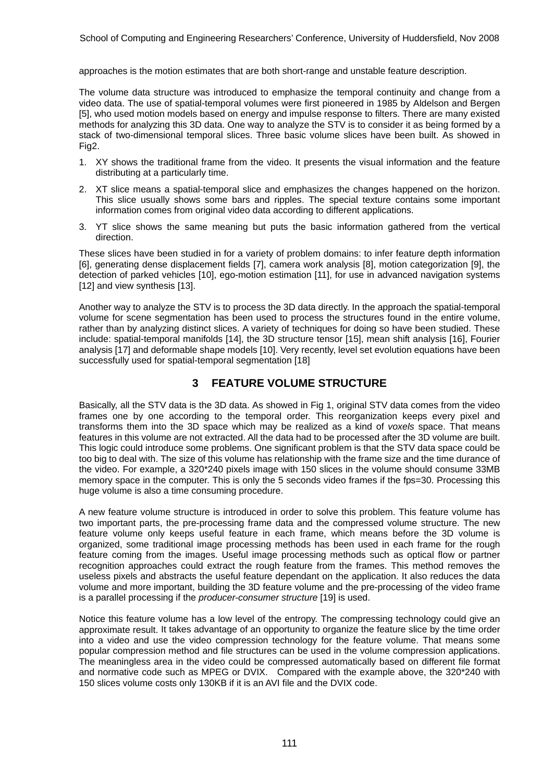approaches is the motion estimates that are both short-range and unstable feature description.

The volume data structure was introduced to emphasize the temporal continuity and change from a video data. The use of spatial-temporal volumes were first pioneered in 1985 by Aldelson and Bergen [5], who used motion models based on energy and impulse response to filters. There are many existed methods for analyzing this 3D data. One way to analyze the STV is to consider it as being formed by a stack of two-dimensional temporal slices. Three basic volume slices have been built. As showed in Fig2.

- 1. XY shows the traditional frame from the video. It presents the visual information and the feature distributing at a particularly time.
- 2. XT slice means a spatial-temporal slice and emphasizes the changes happened on the horizon. This slice usually shows some bars and ripples. The special texture contains some important information comes from original video data according to different applications.
- 3. YT slice shows the same meaning but puts the basic information gathered from the vertical direction.

These slices have been studied in for a variety of problem domains: to infer feature depth information [6], generating dense displacement fields [7], camera work analysis [8], motion categorization [9], the detection of parked vehicles [10], ego-motion estimation [11], for use in advanced navigation systems [12] and view synthesis [13].

Another way to analyze the STV is to process the 3D data directly. In the approach the spatial-temporal volume for scene segmentation has been used to process the structures found in the entire volume, rather than by analyzing distinct slices. A variety of techniques for doing so have been studied. These include: spatial-temporal manifolds [14], the 3D structure tensor [15], mean shift analysis [16], Fourier analysis [17] and deformable shape models [10]. Very recently, level set evolution equations have been successfully used for spatial-temporal segmentation [18]

# **3 FEATURE VOLUME STRUCTURE**

Basically, all the STV data is the 3D data. As showed in Fig 1, original STV data comes from the video frames one by one according to the temporal order. This reorganization keeps every pixel and transforms them into the 3D space which may be realized as a kind of *voxels* space. That means features in this volume are not extracted. All the data had to be processed after the 3D volume are built. This logic could introduce some problems. One significant problem is that the STV data space could be too big to deal with. The size of this volume has relationship with the frame size and the time durance of the video. For example, a 320\*240 pixels image with 150 slices in the volume should consume 33MB memory space in the computer. This is only the 5 seconds video frames if the fps=30. Processing this huge volume is also a time consuming procedure.

A new feature volume structure is introduced in order to solve this problem. This feature volume has two important parts, the pre-processing frame data and the compressed volume structure. The new feature volume only keeps useful feature in each frame, which means before the 3D volume is organized, some traditional image processing methods has been used in each frame for the rough feature coming from the images. Useful image processing methods such as optical flow or partner recognition approaches could extract the rough feature from the frames. This method removes the useless pixels and abstracts the useful feature dependant on the application. It also reduces the data volume and more important, building the 3D feature volume and the pre-processing of the video frame is a parallel processing if the *producer-consumer structure* [19] is used.

Notice this feature volume has a low level of the entropy. The compressing technology could give an approximate result. It takes advantage of an opportunity to organize the feature slice by the time order into a video and use the video compression technology for the feature volume. That means some popular compression method and file structures can be used in the volume compression applications. The meaningless area in the video could be compressed automatically based on different file format and normative code such as MPEG or DVIX. Compared with the example above, the 320\*240 with 150 slices volume costs only 130KB if it is an AVI file and the DVIX code.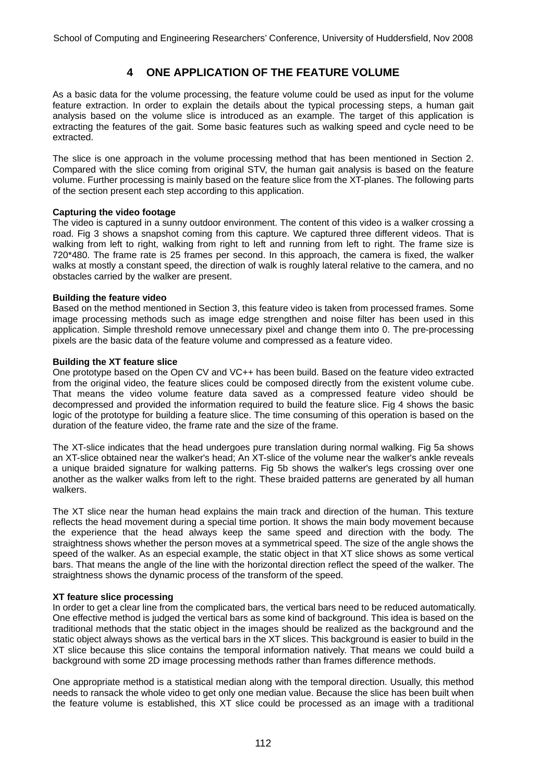# **4 ONE APPLICATION OF THE FEATURE VOLUME**

As a basic data for the volume processing, the feature volume could be used as input for the volume feature extraction. In order to explain the details about the typical processing steps, a human gait analysis based on the volume slice is introduced as an example. The target of this application is extracting the features of the gait. Some basic features such as walking speed and cycle need to be extracted.

The slice is one approach in the volume processing method that has been mentioned in Section 2. Compared with the slice coming from original STV, the human gait analysis is based on the feature volume. Further processing is mainly based on the feature slice from the XT-planes. The following parts of the section present each step according to this application.

#### **Capturing the video footage**

The video is captured in a sunny outdoor environment. The content of this video is a walker crossing a road. Fig 3 shows a snapshot coming from this capture. We captured three different videos. That is walking from left to right, walking from right to left and running from left to right. The frame size is 720\*480. The frame rate is 25 frames per second. In this approach, the camera is fixed, the walker walks at mostly a constant speed, the direction of walk is roughly lateral relative to the camera, and no obstacles carried by the walker are present.

#### **Building the feature video**

Based on the method mentioned in Section 3, this feature video is taken from processed frames. Some image processing methods such as image edge strengthen and noise filter has been used in this application. Simple threshold remove unnecessary pixel and change them into 0. The pre-processing pixels are the basic data of the feature volume and compressed as a feature video.

#### **Building the XT feature slice**

One prototype based on the Open CV and VC++ has been build. Based on the feature video extracted from the original video, the feature slices could be composed directly from the existent volume cube. That means the video volume feature data saved as a compressed feature video should be decompressed and provided the information required to build the feature slice. Fig 4 shows the basic logic of the prototype for building a feature slice. The time consuming of this operation is based on the duration of the feature video, the frame rate and the size of the frame.

The XT-slice indicates that the head undergoes pure translation during normal walking. Fig 5a shows an XT-slice obtained near the walker's head; An XT-slice of the volume near the walker's ankle reveals a unique braided signature for walking patterns. Fig 5b shows the walker's legs crossing over one another as the walker walks from left to the right. These braided patterns are generated by all human walkers.

The XT slice near the human head explains the main track and direction of the human. This texture reflects the head movement during a special time portion. It shows the main body movement because the experience that the head always keep the same speed and direction with the body. The straightness shows whether the person moves at a symmetrical speed. The size of the angle shows the speed of the walker. As an especial example, the static object in that XT slice shows as some vertical bars. That means the angle of the line with the horizontal direction reflect the speed of the walker. The straightness shows the dynamic process of the transform of the speed.

#### **XT feature slice processing**

In order to get a clear line from the complicated bars, the vertical bars need to be reduced automatically. One effective method is judged the vertical bars as some kind of background. This idea is based on the traditional methods that the static object in the images should be realized as the background and the static object always shows as the vertical bars in the XT slices. This background is easier to build in the XT slice because this slice contains the temporal information natively. That means we could build a background with some 2D image processing methods rather than frames difference methods.

One appropriate method is a statistical median along with the temporal direction. Usually, this method needs to ransack the whole video to get only one median value. Because the slice has been built when the feature volume is established, this XT slice could be processed as an image with a traditional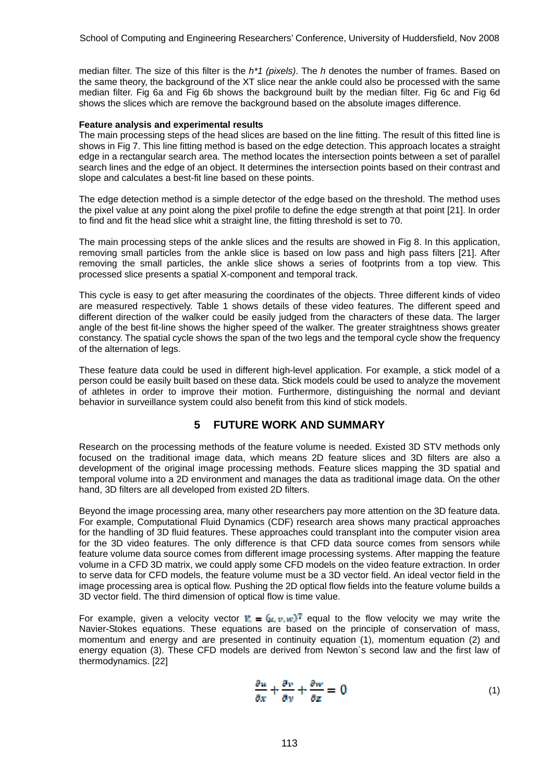median filter. The size of this filter is the *h\*1 (pixels)*. The *h* denotes the number of frames. Based on the same theory, the background of the XT slice near the ankle could also be processed with the same median filter. Fig 6a and Fig 6b shows the background built by the median filter. Fig 6c and Fig 6d shows the slices which are remove the background based on the absolute images difference.

#### **Feature analysis and experimental results**

The main processing steps of the head slices are based on the line fitting. The result of this fitted line is shows in Fig 7. This line fitting method is based on the edge detection. This approach locates a straight edge in a rectangular search area. The method locates the intersection points between a set of parallel search lines and the edge of an object. It determines the intersection points based on their contrast and slope and calculates a best-fit line based on these points.

The edge detection method is a simple detector of the edge based on the threshold. The method uses the pixel value at any point along the pixel profile to define the edge strength at that point [21]. In order to find and fit the head slice whit a straight line, the fitting threshold is set to 70.

The main processing steps of the ankle slices and the results are showed in Fig 8. In this application, removing small particles from the ankle slice is based on low pass and high pass filters [21]. After removing the small particles, the ankle slice shows a series of footprints from a top view. This processed slice presents a spatial X-component and temporal track.

This cycle is easy to get after measuring the coordinates of the objects. Three different kinds of video are measured respectively. Table 1 shows details of these video features. The different speed and different direction of the walker could be easily judged from the characters of these data. The larger angle of the best fit-line shows the higher speed of the walker. The greater straightness shows greater constancy. The spatial cycle shows the span of the two legs and the temporal cycle show the frequency of the alternation of legs.

These feature data could be used in different high-level application. For example, a stick model of a person could be easily built based on these data. Stick models could be used to analyze the movement of athletes in order to improve their motion. Furthermore, distinguishing the normal and deviant behavior in surveillance system could also benefit from this kind of stick models.

## **5 FUTURE WORK AND SUMMARY**

Research on the processing methods of the feature volume is needed. Existed 3D STV methods only focused on the traditional image data, which means 2D feature slices and 3D filters are also a development of the original image processing methods. Feature slices mapping the 3D spatial and temporal volume into a 2D environment and manages the data as traditional image data. On the other hand, 3D filters are all developed from existed 2D filters.

Beyond the image processing area, many other researchers pay more attention on the 3D feature data. For example, Computational Fluid Dynamics (CDF) research area shows many practical approaches for the handling of 3D fluid features. These approaches could transplant into the computer vision area for the 3D video features. The only difference is that CFD data source comes from sensors while feature volume data source comes from different image processing systems. After mapping the feature volume in a CFD 3D matrix, we could apply some CFD models on the video feature extraction. In order to serve data for CFD models, the feature volume must be a 3D vector field. An ideal vector field in the image processing area is optical flow. Pushing the 2D optical flow fields into the feature volume builds a 3D vector field. The third dimension of optical flow is time value.

For example, given a velocity vector  $\mathbf{F} = (\mu, v, w)^\mathsf{T}$  equal to the flow velocity we may write the Navier-Stokes equations. These equations are based on the principle of conservation of mass, momentum and energy and are presented in continuity equation (1), momentum equation (2) and energy equation (3). These CFD models are derived from Newton`s second law and the first law of thermodynamics. [22]

$$
\frac{\partial u}{\partial x} + \frac{\partial v}{\partial y} + \frac{\partial w}{\partial z} = 0 \tag{1}
$$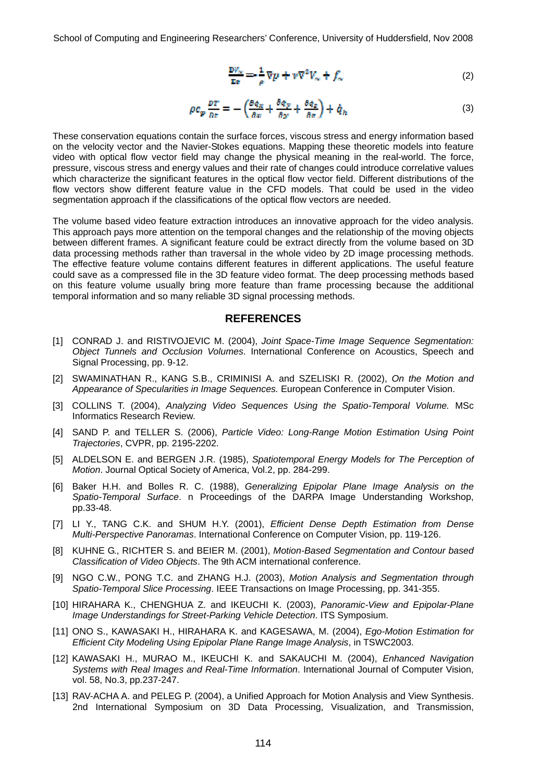School of Computing and Engineering Researchers' Conference, University of Huddersfield, Nov 2008

$$
\frac{D\mathcal{V}_{\infty}}{\mathbb{E}\epsilon} = \frac{1}{\rho} \nabla p + \nu \nabla^2 V_{\infty} + f_{\infty}
$$
 (2)

$$
\rho c_p \frac{p_T}{n_E} = -\left(\frac{\partial q_x}{\partial x} + \frac{\partial q_y}{\partial y} + \frac{\partial q_z}{\partial z}\right) + \dot{q}_h
$$
\n(3)

These conservation equations contain the surface forces, viscous stress and energy information based on the velocity vector and the Navier-Stokes equations. Mapping these theoretic models into feature video with optical flow vector field may change the physical meaning in the real-world. The force, pressure, viscous stress and energy values and their rate of changes could introduce correlative values which characterize the significant features in the optical flow vector field. Different distributions of the flow vectors show different feature value in the CFD models. That could be used in the video segmentation approach if the classifications of the optical flow vectors are needed.

The volume based video feature extraction introduces an innovative approach for the video analysis. This approach pays more attention on the temporal changes and the relationship of the moving objects between different frames. A significant feature could be extract directly from the volume based on 3D data processing methods rather than traversal in the whole video by 2D image processing methods. The effective feature volume contains different features in different applications. The useful feature could save as a compressed file in the 3D feature video format. The deep processing methods based on this feature volume usually bring more feature than frame processing because the additional temporal information and so many reliable 3D signal processing methods.

#### **REFERENCES**

- [1] CONRAD J. and RISTIVOJEVIC M. (2004), *Joint Space-Time Image Sequence Segmentation: Object Tunnels and Occlusion Volumes*. International Conference on Acoustics, Speech and Signal Processing, pp. 9-12.
- [2] SWAMINATHAN R., KANG S.B., CRIMINISI A. and SZELISKI R. (2002), *On the Motion and Appearance of Specularities in Image Sequences.* European Conference in Computer Vision.
- [3] COLLINS T. (2004), *Analyzing Video Sequences Using the Spatio-Temporal Volume.* MSc Informatics Research Review.
- [4] SAND P. and TELLER S. (2006), *Particle Video: Long-Range Motion Estimation Using Point Trajectories*, CVPR, pp. 2195-2202.
- [5] ALDELSON E. and BERGEN J.R. (1985), *Spatiotemporal Energy Models for The Perception of Motion*. Journal Optical Society of America, Vol.2, pp. 284-299.
- [6] Baker H.H. and Bolles R. C. (1988), *Generalizing Epipolar Plane Image Analysis on the Spatio-Temporal Surface*. n Proceedings of the DARPA Image Understanding Workshop, pp.33-48.
- [7] LI Y., TANG C.K. and SHUM H.Y. (2001), *Efficient Dense Depth Estimation from Dense Multi-Perspective Panoramas*. International Conference on Computer Vision, pp. 119-126.
- [8] KUHNE G., RICHTER S. and BEIER M. (2001), *Motion-Based Segmentation and Contour based Classification of Video Objects*. The 9th ACM international conference.
- [9] NGO C.W., PONG T.C. and ZHANG H.J. (2003), *Motion Analysis and Segmentation through Spatio-Temporal Slice Processing*. IEEE Transactions on Image Processing, pp. 341-355.
- [10] HIRAHARA K., CHENGHUA Z. and IKEUCHI K. (2003), *Panoramic-View and Epipolar-Plane Image Understandings for Street-Parking Vehicle Detection*. ITS Symposium.
- [11] ONO S., KAWASAKI H., HIRAHARA K. and KAGESAWA, M. (2004), *Ego-Motion Estimation for Efficient City Modeling Using Epipolar Plane Range Image Analysis*, in TSWC2003.
- [12] KAWASAKI H., MURAO M., IKEUCHI K. and SAKAUCHI M. (2004), *Enhanced Navigation Systems with Real Images and Real-Time Information*. International Journal of Computer Vision, vol. 58, No.3, pp.237-247.
- [13] RAV-ACHA A. and PELEG P. (2004), a Unified Approach for Motion Analysis and View Synthesis. 2nd International Symposium on 3D Data Processing, Visualization, and Transmission,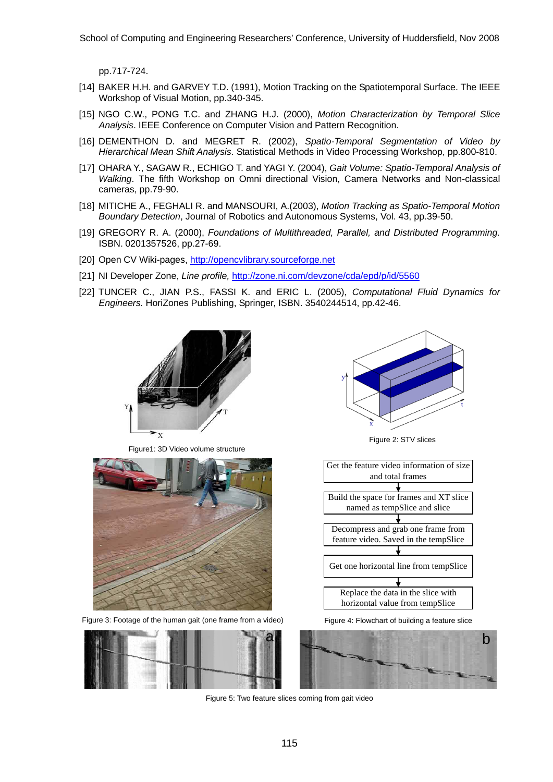School of Computing and Engineering Researchers' Conference, University of Huddersfield, Nov 2008

pp.717-724.

- [14] BAKER H.H. and GARVEY T.D. (1991), Motion Tracking on the Spatiotemporal Surface. The IEEE Workshop of Visual Motion, pp.340-345.
- [15] NGO C.W., PONG T.C. and ZHANG H.J. (2000), *Motion Characterization by Temporal Slice Analysis*. IEEE Conference on Computer Vision and Pattern Recognition.
- [16] DEMENTHON D. and MEGRET R. (2002), *Spatio-Temporal Segmentation of Video by Hierarchical Mean Shift Analysis*. Statistical Methods in Video Processing Workshop, pp.800-810.
- [17] OHARA Y., SAGAW R., ECHIGO T. and YAGI Y. (2004), *Gait Volume: Spatio-Temporal Analysis of Walking*. The fifth Workshop on Omni directional Vision, Camera Networks and Non-classical cameras, pp.79-90.
- [18] MITICHE A., FEGHALI R. and MANSOURI, A.(2003), *Motion Tracking as Spatio-Temporal Motion Boundary Detection*, Journal of Robotics and Autonomous Systems, Vol. 43, pp.39-50.
- [19] GREGORY R. A. (2000), *Foundations of Multithreaded, Parallel, and Distributed Programming.*  ISBN. 0201357526, pp.27-69.
- [20] Open CV Wiki-pages, [http://opencvlibrary.sourceforge.net](http://opencvlibrary.sourceforge.net/)
- [21] NI Developer Zone, *Line profile,* <http://zone.ni.com/devzone/cda/epd/p/id/5560>
- [22] TUNCER C., JIAN P.S., FASSI K. and ERIC L. (2005), *Computational Fluid Dynamics for Engineers.* HoriZones Publishing, Springer, ISBN. 3540244514, pp.42-46.



Figure1: 3D Video volume structure



Figure 3: Footage of the human gait (one frame from a video)





Figure 2: STV slices



Figure 4: Flowchart of building a feature slice



Figure 5: Two feature slices coming from gait video